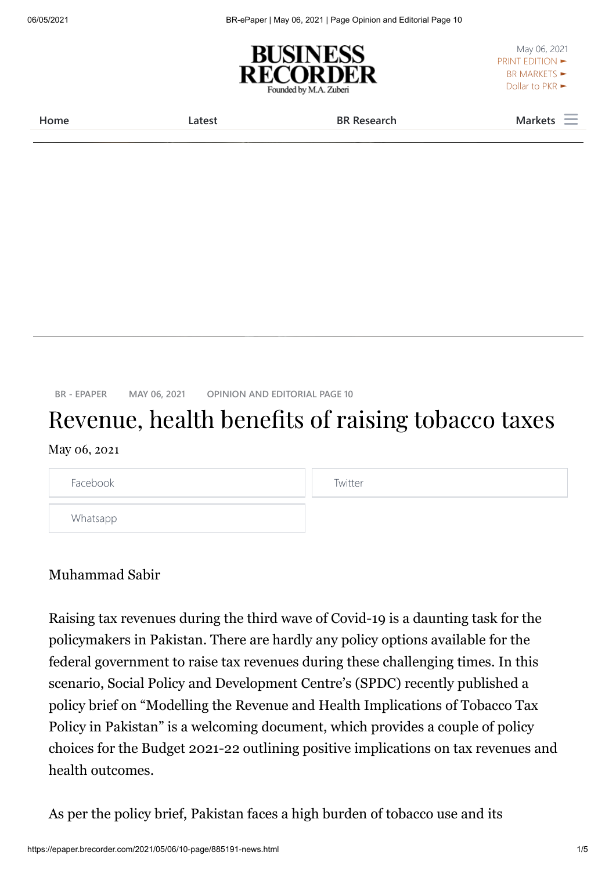06/05/2021 BR-ePaper | May 06, 2021 | Page Opinion and Editorial Page 10



May 06, 2021 [PRINT EDITION ►](https://epaper.brecorder.com/) BR MARKETS  $\blacktriangleright$ [Dollar to PKR ►](https://brecorder.com/exchange-rates)

**[Home](https://epaper.brecorder.com/) [Latest](https://www.brecorder.com/latest-news) [BR Research](https://www.brecorder.com/br-research) [Markets](https://www.brecorder.com/markets)**

**[BR - EPAPER](https://epaper.brecorder.com/) [MAY 06, 2021](https://epaper.brecorder.com/2021/05/06) [OPINION AND EDITORIAL PAGE 10](https://epaper.brecorder.com/2021/05/06/10-page.html)**

## Revenue, health benefits of raising tobacco taxes

## May 06, 2021

| Facebook | Twitter |
|----------|---------|
| Whatsapp |         |

## Muhammad Sabir

Raising tax revenues during the third wave of Covid-19 is a daunting task for the policymakers in Pakistan. There are hardly any policy options available for the federal government to raise tax revenues during these challenging times. In this scenario, Social Policy and Development Centre's (SPDC) recently published a policy brief on "Modelling the Revenue and Health Implications of Tobacco Tax Policy in Pakistan" is a welcoming document, which provides a couple of policy choices for the Budget 2021-22 outlining positive implications on tax revenues and health outcomes.

As per the policy brief, Pakistan faces a high burden of tobacco use and its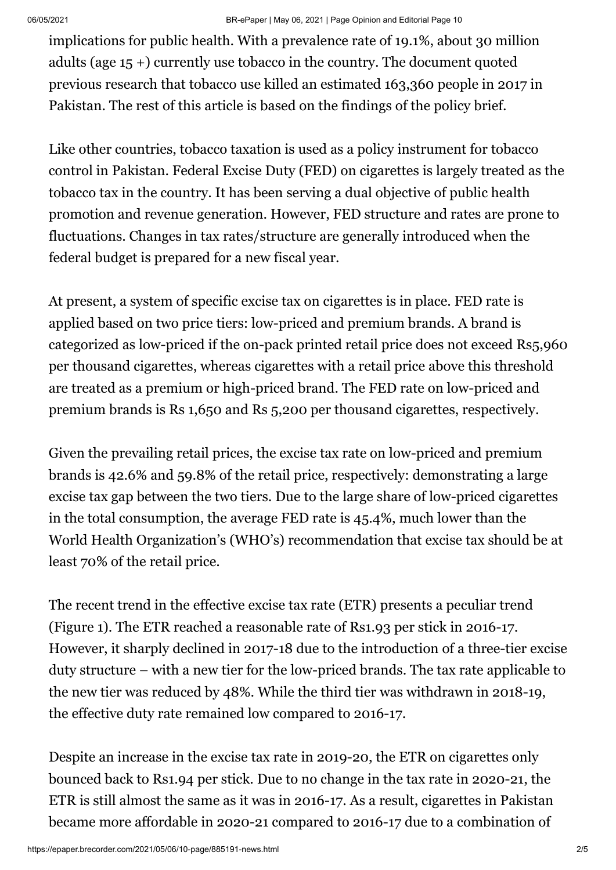implications for public health. With a prevalence rate of 19.1%, about 30 million adults (age 15 +) currently use tobacco in the country. The document quoted previous research that tobacco use killed an estimated 163,360 people in 2017 in Pakistan. The rest of this article is based on the findings of the policy brief.

Like other countries, tobacco taxation is used as a policy instrument for tobacco control in Pakistan. Federal Excise Duty (FED) on cigarettes is largely treated as the tobacco tax in the country. It has been serving a dual objective of public health promotion and revenue generation. However, FED structure and rates are prone to fluctuations. Changes in tax rates/structure are generally introduced when the federal budget is prepared for a new fiscal year.

At present, a system of specific excise tax on cigarettes is in place. FED rate is applied based on two price tiers: low-priced and premium brands. A brand is categorized as low-priced if the on-pack printed retail price does not exceed Rs5,960 per thousand cigarettes, whereas cigarettes with a retail price above this threshold are treated as a premium or high-priced brand. The FED rate on low-priced and premium brands is Rs 1,650 and Rs 5,200 per thousand cigarettes, respectively.

Given the prevailing retail prices, the excise tax rate on low-priced and premium brands is 42.6% and 59.8% of the retail price, respectively: demonstrating a large excise tax gap between the two tiers. Due to the large share of low-priced cigarettes in the total consumption, the average FED rate is 45.4%, much lower than the World Health Organization's (WHO's) recommendation that excise tax should be at least 70% of the retail price.

The recent trend in the effective excise tax rate (ETR) presents a peculiar trend (Figure 1). The ETR reached a reasonable rate of Rs1.93 per stick in 2016-17. However, it sharply declined in 2017-18 due to the introduction of a three-tier excise duty structure – with a new tier for the low-priced brands. The tax rate applicable to the new tier was reduced by 48%. While the third tier was withdrawn in 2018-19, the effective duty rate remained low compared to 2016-17.

Despite an increase in the excise tax rate in 2019-20, the ETR on cigarettes only bounced back to Rs1.94 per stick. Due to no change in the tax rate in 2020-21, the ETR is still almost the same as it was in 2016-17. As a result, cigarettes in Pakistan became more affordable in 2020-21 compared to 2016-17 due to a combination of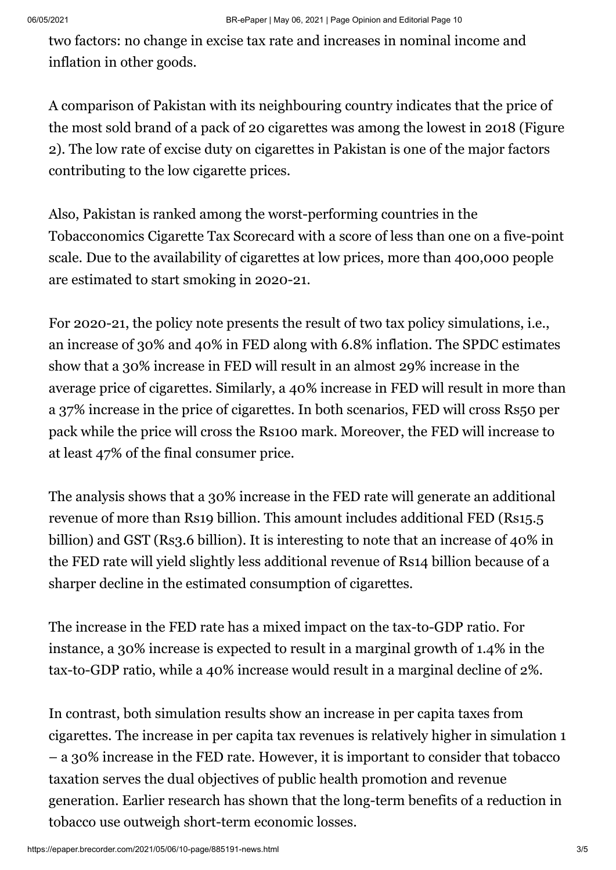two factors: no change in excise tax rate and increases in nominal income and inflation in other goods.

A comparison of Pakistan with its neighbouring country indicates that the price of the most sold brand of a pack of 20 cigarettes was among the lowest in 2018 (Figure 2). The low rate of excise duty on cigarettes in Pakistan is one of the major factors contributing to the low cigarette prices.

Also, Pakistan is ranked among the worst-performing countries in the Tobacconomics Cigarette Tax Scorecard with a score of less than one on a five-point scale. Due to the availability of cigarettes at low prices, more than 400,000 people are estimated to start smoking in 2020-21.

For 2020-21, the policy note presents the result of two tax policy simulations, i.e., an increase of 30% and 40% in FED along with 6.8% inflation. The SPDC estimates show that a 30% increase in FED will result in an almost 29% increase in the average price of cigarettes. Similarly, a 40% increase in FED will result in more than a 37% increase in the price of cigarettes. In both scenarios, FED will cross Rs50 per pack while the price will cross the Rs100 mark. Moreover, the FED will increase to at least 47% of the final consumer price.

The analysis shows that a 30% increase in the FED rate will generate an additional revenue of more than Rs19 billion. This amount includes additional FED (Rs15.5 billion) and GST (Rs3.6 billion). It is interesting to note that an increase of 40% in the FED rate will yield slightly less additional revenue of Rs14 billion because of a sharper decline in the estimated consumption of cigarettes.

The increase in the FED rate has a mixed impact on the tax-to-GDP ratio. For instance, a 30% increase is expected to result in a marginal growth of 1.4% in the tax-to-GDP ratio, while a 40% increase would result in a marginal decline of 2%.

In contrast, both simulation results show an increase in per capita taxes from cigarettes. The increase in per capita tax revenues is relatively higher in simulation 1 – a 30% increase in the FED rate. However, it is important to consider that tobacco taxation serves the dual objectives of public health promotion and revenue generation. Earlier research has shown that the long-term benefits of a reduction in tobacco use outweigh short-term economic losses.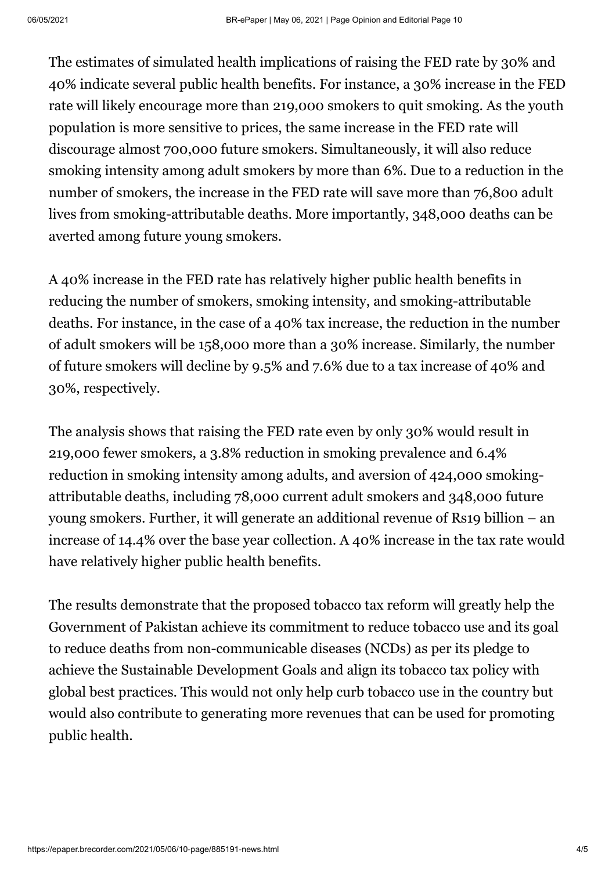The estimates of simulated health implications of raising the FED rate by 30% and 40% indicate several public health benefits. For instance, a 30% increase in the FED rate will likely encourage more than 219,000 smokers to quit smoking. As the youth population is more sensitive to prices, the same increase in the FED rate will discourage almost 700,000 future smokers. Simultaneously, it will also reduce smoking intensity among adult smokers by more than 6%. Due to a reduction in the number of smokers, the increase in the FED rate will save more than 76,800 adult lives from smoking-attributable deaths. More importantly, 348,000 deaths can be averted among future young smokers.

A 40% increase in the FED rate has relatively higher public health benefits in reducing the number of smokers, smoking intensity, and smoking-attributable deaths. For instance, in the case of a 40% tax increase, the reduction in the number of adult smokers will be 158,000 more than a 30% increase. Similarly, the number of future smokers will decline by 9.5% and 7.6% due to a tax increase of 40% and 30%, respectively.

The analysis shows that raising the FED rate even by only 30% would result in 219,000 fewer smokers, a 3.8% reduction in smoking prevalence and 6.4% reduction in smoking intensity among adults, and aversion of 424,000 smokingattributable deaths, including 78,000 current adult smokers and 348,000 future young smokers. Further, it will generate an additional revenue of Rs19 billion – an increase of 14.4% over the base year collection. A 40% increase in the tax rate would have relatively higher public health benefits.

The results demonstrate that the proposed tobacco tax reform will greatly help the Government of Pakistan achieve its commitment to reduce tobacco use and its goal to reduce deaths from non-communicable diseases (NCDs) as per its pledge to achieve the Sustainable Development Goals and align its tobacco tax policy with global best practices. This would not only help curb tobacco use in the country but would also contribute to generating more revenues that can be used for promoting public health.